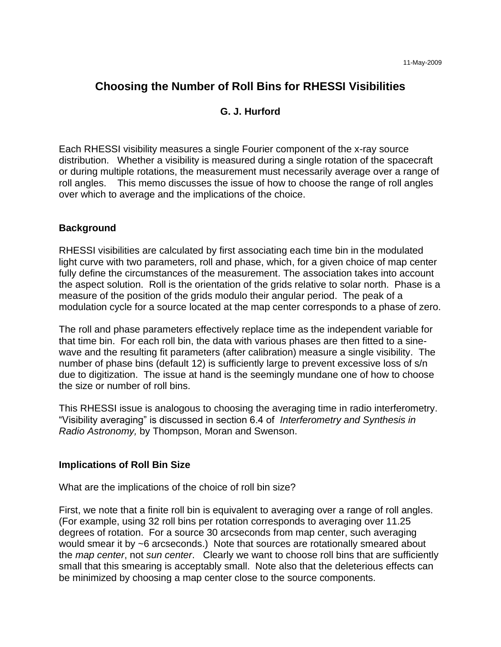# **Choosing the Number of Roll Bins for RHESSI Visibilities**

# **G. J. Hurford**

Each RHESSI visibility measures a single Fourier component of the x-ray source distribution. Whether a visibility is measured during a single rotation of the spacecraft or during multiple rotations, the measurement must necessarily average over a range of roll angles. This memo discusses the issue of how to choose the range of roll angles over which to average and the implications of the choice.

#### **Background**

RHESSI visibilities are calculated by first associating each time bin in the modulated light curve with two parameters, roll and phase, which, for a given choice of map center fully define the circumstances of the measurement. The association takes into account the aspect solution. Roll is the orientation of the grids relative to solar north. Phase is a measure of the position of the grids modulo their angular period. The peak of a modulation cycle for a source located at the map center corresponds to a phase of zero.

The roll and phase parameters effectively replace time as the independent variable for that time bin. For each roll bin, the data with various phases are then fitted to a sinewave and the resulting fit parameters (after calibration) measure a single visibility. The number of phase bins (default 12) is sufficiently large to prevent excessive loss of s/n due to digitization. The issue at hand is the seemingly mundane one of how to choose the size or number of roll bins.

This RHESSI issue is analogous to choosing the averaging time in radio interferometry. "Visibility averaging" is discussed in section 6.4 of *Interferometry and Synthesis in Radio Astronomy,* by Thompson, Moran and Swenson.

#### **Implications of Roll Bin Size**

What are the implications of the choice of roll bin size?

First, we note that a finite roll bin is equivalent to averaging over a range of roll angles. (For example, using 32 roll bins per rotation corresponds to averaging over 11.25 degrees of rotation. For a source 30 arcseconds from map center, such averaging would smear it by ~6 arcseconds.) Note that sources are rotationally smeared about the *map center*, not *sun center*. Clearly we want to choose roll bins that are sufficiently small that this smearing is acceptably small. Note also that the deleterious effects can be minimized by choosing a map center close to the source components.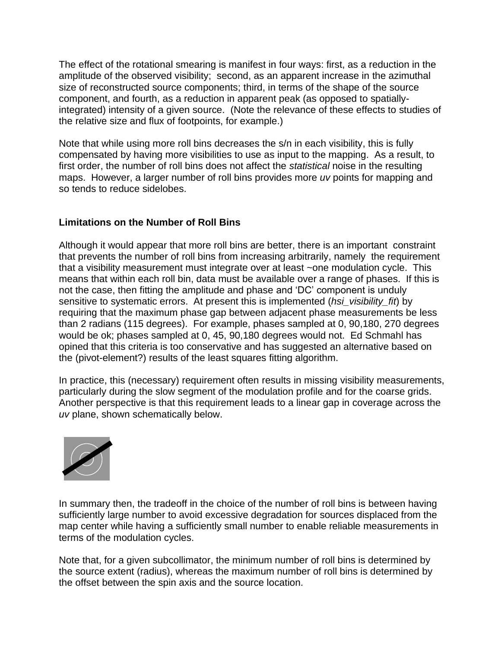The effect of the rotational smearing is manifest in four ways: first, as a reduction in the amplitude of the observed visibility; second, as an apparent increase in the azimuthal size of reconstructed source components; third, in terms of the shape of the source component, and fourth, as a reduction in apparent peak (as opposed to spatiallyintegrated) intensity of a given source. (Note the relevance of these effects to studies of the relative size and flux of footpoints, for example.)

Note that while using more roll bins decreases the s/n in each visibility, this is fully compensated by having more visibilities to use as input to the mapping. As a result, to first order, the number of roll bins does not affect the *statistical* noise in the resulting maps. However, a larger number of roll bins provides more *uv* points for mapping and so tends to reduce sidelobes.

## **Limitations on the Number of Roll Bins**

Although it would appear that more roll bins are better, there is an important constraint that prevents the number of roll bins from increasing arbitrarily, namely the requirement that a visibility measurement must integrate over at least ~one modulation cycle. This means that within each roll bin, data must be available over a range of phases. If this is not the case, then fitting the amplitude and phase and 'DC' component is unduly sensitive to systematic errors. At present this is implemented (*hsi\_visibility\_fit*) by requiring that the maximum phase gap between adjacent phase measurements be less than 2 radians (115 degrees). For example, phases sampled at 0, 90,180, 270 degrees would be ok; phases sampled at 0, 45, 90,180 degrees would not. Ed Schmahl has opined that this criteria is too conservative and has suggested an alternative based on the (pivot-element?) results of the least squares fitting algorithm.

In practice, this (necessary) requirement often results in missing visibility measurements, particularly during the slow segment of the modulation profile and for the coarse grids. Another perspective is that this requirement leads to a linear gap in coverage across the *uv* plane, shown schematically below.



In summary then, the tradeoff in the choice of the number of roll bins is between having sufficiently large number to avoid excessive degradation for sources displaced from the map center while having a sufficiently small number to enable reliable measurements in terms of the modulation cycles.

Note that, for a given subcollimator, the minimum number of roll bins is determined by the source extent (radius), whereas the maximum number of roll bins is determined by the offset between the spin axis and the source location.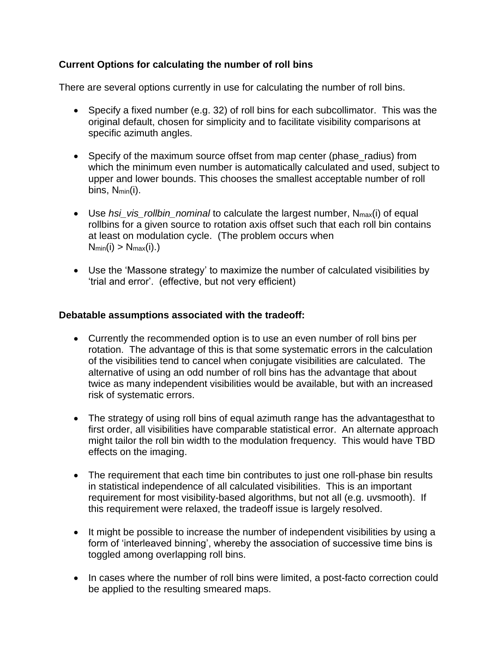# **Current Options for calculating the number of roll bins**

There are several options currently in use for calculating the number of roll bins.

- Specify a fixed number (e.g. 32) of roll bins for each subcollimator. This was the original default, chosen for simplicity and to facilitate visibility comparisons at specific azimuth angles.
- Specify of the maximum source offset from map center (phase\_radius) from which the minimum even number is automatically calculated and used, subject to upper and lower bounds. This chooses the smallest acceptable number of roll bins, N<sub>min</sub>(i).
- Use *hsi\_vis\_rollbin\_nominal* to calculate the largest number, Nmax(i) of equal rollbins for a given source to rotation axis offset such that each roll bin contains at least on modulation cycle. (The problem occurs when  $N_{min}(i) > N_{max}(i)$ .
- Use the 'Massone strategy' to maximize the number of calculated visibilities by 'trial and error'. (effective, but not very efficient)

#### **Debatable assumptions associated with the tradeoff:**

- Currently the recommended option is to use an even number of roll bins per rotation. The advantage of this is that some systematic errors in the calculation of the visibilities tend to cancel when conjugate visibilities are calculated. The alternative of using an odd number of roll bins has the advantage that about twice as many independent visibilities would be available, but with an increased risk of systematic errors.
- The strategy of using roll bins of equal azimuth range has the advantagesthat to first order, all visibilities have comparable statistical error. An alternate approach might tailor the roll bin width to the modulation frequency. This would have TBD effects on the imaging.
- The requirement that each time bin contributes to just one roll-phase bin results in statistical independence of all calculated visibilities. This is an important requirement for most visibility-based algorithms, but not all (e.g. uvsmooth). If this requirement were relaxed, the tradeoff issue is largely resolved.
- It might be possible to increase the number of independent visibilities by using a form of 'interleaved binning', whereby the association of successive time bins is toggled among overlapping roll bins.
- In cases where the number of roll bins were limited, a post-facto correction could be applied to the resulting smeared maps.